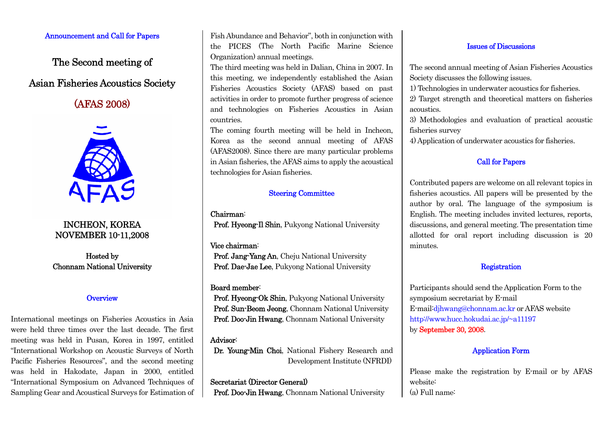### Announcement and Call for Papers

The Second meeting of Asian Fisheries Acoustics Society

# (AFAS 2008)



# INCHEON, KOREA NOVEMBER 10-11,2008

Hosted by Chonnam National University

# **Overview**

International meetings on Fisheries Acoustics in Asia were held three times over the last decade. The first meeting was held in Pusan, Korea in 1997, entitled "International Workshop on Acoustic Surveys of North Pacific Fisheries Resources", and the second meeting was held in Hakodate, Japan in 2000, entitled "International Symposium on Advanced Techniques of Sampling Gear and Acoustical Surveys for Estimation of Fish Abundance and Behavior", both in conjunction with the PICES (The North Pacific Marine Science Organization) annual meetings.

The third meeting was held in Dalian, China in 2007. In this meeting, we independently established the Asian Fisheries Acoustics Society (AFAS) based on past activities in order to promote further progress of science and technologies on Fisheries Acoustics in Asian countries.

The coming fourth meeting will be held in Incheon, Korea as the second annual meeting of AFAS (AFAS2008). Since there are many particular problems in Asian fisheries, the AFAS aims to apply the acoustical technologies for Asian fisheries.

### Steering Committee

Chairman:

Prof. Hyeong-Il Shin, Pukyong National University

#### Vice chairman:

Prof. Jang-Yang An, Cheju National University Prof. Dae-Jae Lee, Pukyong National University

### Board member:

Prof. Hyeong-Ok Shin, Pukyong National University Prof. Sun-Beom Jeong, Chonnam National University Prof. Doo-Jin Hwang, Chonnam National University

### Advisor:

Dr. Young-Min Choi, National Fishery Research and Development Institute (NFRDI)

### Secretariat (Director General)

Prof. Doo-Jin Hwang, Chonnam National University

### Issues of Discussions

The second annual meeting of Asian Fisheries Acoustics Society discusses the following issues.

1) Technologies in underwater acoustics for fisheries.

2) Target strength and theoretical matters on fisheries acoustics.

3) Methodologies and evaluation of practical acoustic fisheries survey

4) Application of underwater acoustics for fisheries.

# Call for Papers

Contributed papers are welcome on all relevant topics in fisheries acoustics. All papers will be presented by the author by oral. The language of the symposium is English. The meeting includes invited lectures, reports, discussions, and general meeting. The presentation time allotted for oral report including discussion is 20 minutes.

## Registration

Participants should send the Application Form to the symposium secretariat by E-mail E-mail:djhwang@chonnam.ac.kr or AFAS website http://www.hucc.hokudai.ac.jp/~a11197 by September 30, 2008.

### Application Form

Please make the registration by E-mail or by AFAS website: (a) Full name: